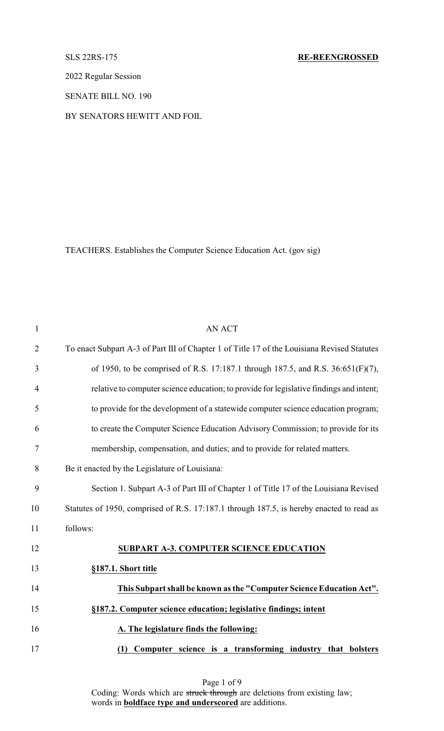2022 Regular Session

SENATE BILL NO. 190

BY SENATORS HEWITT AND FOIL

TEACHERS. Establishes the Computer Science Education Act. (gov sig)

| $\mathbf{1}$   | <b>AN ACT</b>                                                                               |
|----------------|---------------------------------------------------------------------------------------------|
| $\overline{2}$ | To enact Subpart A-3 of Part III of Chapter 1 of Title 17 of the Louisiana Revised Statutes |
| 3              | of 1950, to be comprised of R.S. 17:187.1 through 187.5, and R.S. 36:651(F)(7),             |
| 4              | relative to computer science education; to provide for legislative findings and intent;     |
| 5              | to provide for the development of a statewide computer science education program;           |
| 6              | to create the Computer Science Education Advisory Commission; to provide for its            |
| 7              | membership, compensation, and duties; and to provide for related matters.                   |
| 8              | Be it enacted by the Legislature of Louisiana:                                              |
| 9              | Section 1. Subpart A-3 of Part III of Chapter 1 of Title 17 of the Louisiana Revised        |
| 10             | Statutes of 1950, comprised of R.S. 17:187.1 through 187.5, is hereby enacted to read as    |
| 11             | follows:                                                                                    |
| 12             | <b>SUBPART A-3. COMPUTER SCIENCE EDUCATION</b>                                              |
| 13             | §187.1. Short title                                                                         |
| 14             | This Subpart shall be known as the "Computer Science Education Act".                        |
| 15             | §187.2. Computer science education; legislative findings; intent                            |
| 16             | A. The legislature finds the following:                                                     |
| 17             | Computer science is a transforming industry that bolsters<br>(1)                            |

Page 1 of 9 Coding: Words which are struck through are deletions from existing law; words in **boldface type and underscored** are additions.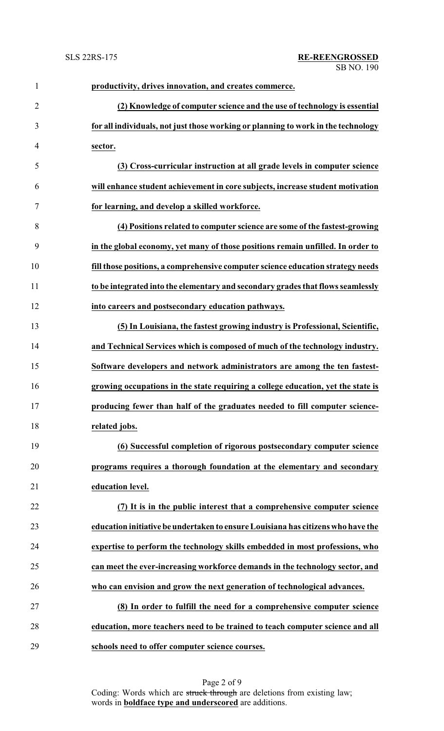| $\mathbf{1}$   | productivity, drives innovation, and creates commerce.                            |
|----------------|-----------------------------------------------------------------------------------|
| $\overline{2}$ | (2) Knowledge of computer science and the use of technology is essential          |
| 3              | for all individuals, not just those working or planning to work in the technology |
| $\overline{4}$ | sector.                                                                           |
| 5              | (3) Cross-curricular instruction at all grade levels in computer science          |
| 6              | will enhance student achievement in core subjects, increase student motivation    |
| $\tau$         | for learning, and develop a skilled workforce.                                    |
| 8              | (4) Positions related to computer science are some of the fastest-growing         |
| 9              | in the global economy, yet many of those positions remain unfilled. In order to   |
| 10             | fill those positions, a comprehensive computer science education strategy needs   |
| 11             | to be integrated into the elementary and secondary grades that flows seamlessly   |
| 12             | into careers and postsecondary education pathways.                                |
| 13             | (5) In Louisiana, the fastest growing industry is Professional, Scientific,       |
| 14             | and Technical Services which is composed of much of the technology industry.      |
| 15             | Software developers and network administrators are among the ten fastest-         |
| 16             | growing occupations in the state requiring a college education, yet the state is  |
| 17             | producing fewer than half of the graduates needed to fill computer science-       |
| 18             | related jobs.                                                                     |
| 19             | (6) Successful completion of rigorous postsecondary computer science              |
| 20             | programs requires a thorough foundation at the elementary and secondary           |
| 21             | education level.                                                                  |
| 22             | (7) It is in the public interest that a comprehensive computer science            |
| 23             | education initiative be undertaken to ensure Louisiana has citizens who have the  |
| 24             | expertise to perform the technology skills embedded in most professions, who      |
| 25             | can meet the ever-increasing workforce demands in the technology sector, and      |
| 26             | who can envision and grow the next generation of technological advances.          |
| 27             | (8) In order to fulfill the need for a comprehensive computer science             |
| 28             | education, more teachers need to be trained to teach computer science and all     |
| 29             | schools need to offer computer science courses.                                   |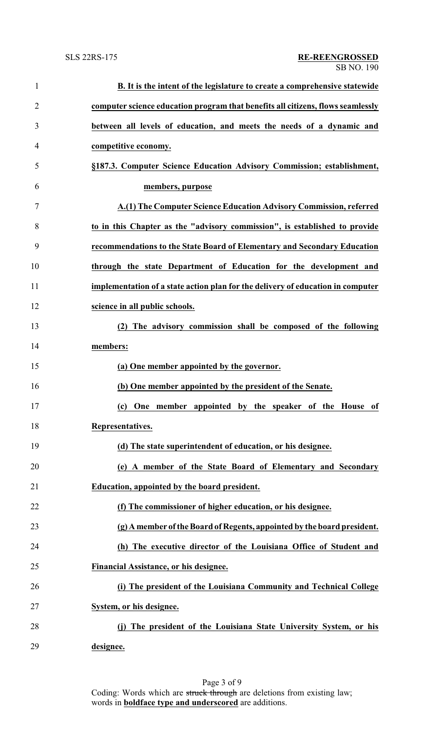| $\mathbf{1}$   | B. It is the intent of the legislature to create a comprehensive statewide           |
|----------------|--------------------------------------------------------------------------------------|
| $\overline{2}$ | computer science education program that benefits all citizens, flows seamlessly      |
| 3              | between all levels of education, and meets the needs of a dynamic and                |
| $\overline{4}$ | competitive economy.                                                                 |
| 5              | §187.3. Computer Science Education Advisory Commission; establishment,               |
| 6              | members, purpose                                                                     |
| 7              | A.(1) The Computer Science Education Advisory Commission, referred                   |
| 8              | to in this Chapter as the "advisory commission", is established to provide           |
| 9              | recommendations to the State Board of Elementary and Secondary Education             |
| 10             | through the state Department of Education for the development and                    |
| 11             | implementation of a state action plan for the delivery of education in computer      |
| 12             | science in all public schools.                                                       |
| 13             | (2) The advisory commission shall be composed of the following                       |
| 14             | members:                                                                             |
| 15             | (a) One member appointed by the governor.                                            |
| 16             | (b) One member appointed by the president of the Senate.                             |
| 17             | $\left( \mathrm{c}\right)$<br>One member appointed by the speaker<br>of the House of |
| 18             | Representatives.                                                                     |
| 19             | (d) The state superintendent of education, or his designee.                          |
| 20             | (e) A member of the State Board of Elementary and Secondary                          |
| 21             | Education, appointed by the board president.                                         |
| 22             | (f) The commissioner of higher education, or his designee.                           |
| 23             | (g) A member of the Board of Regents, appointed by the board president.              |
| 24             | (h) The executive director of the Louisiana Office of Student and                    |
| 25             | Financial Assistance, or his designee.                                               |
| 26             | (i) The president of the Louisiana Community and Technical College                   |
| 27             | System, or his designee.                                                             |
| 28             | (j) The president of the Louisiana State University System, or his                   |
| 29             | designee.                                                                            |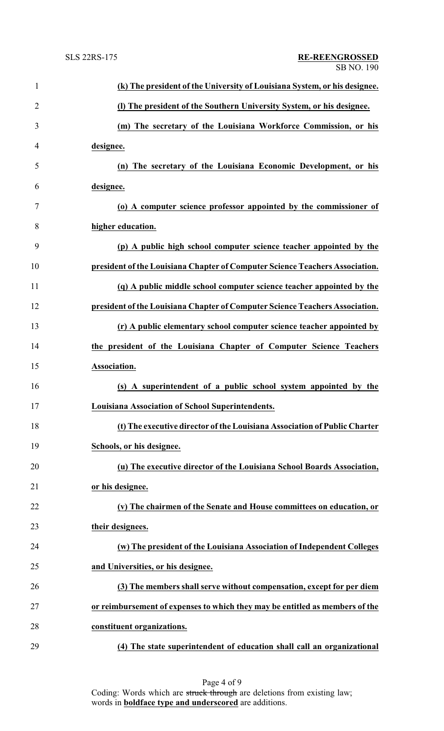| $\mathbf{1}$   | (k) The president of the University of Louisiana System, or his designee.    |
|----------------|------------------------------------------------------------------------------|
| $\overline{2}$ | (I) The president of the Southern University System, or his designee.        |
| 3              | (m) The secretary of the Louisiana Workforce Commission, or his              |
| 4              | designee.                                                                    |
| 5              | (n) The secretary of the Louisiana Economic Development, or his              |
| 6              | designee.                                                                    |
| 7              | (o) A computer science professor appointed by the commissioner of            |
| 8              | higher education.                                                            |
| 9              | (p) A public high school computer science teacher appointed by the           |
| 10             | president of the Louisiana Chapter of Computer Science Teachers Association. |
| 11             | (q) A public middle school computer science teacher appointed by the         |
| 12             | president of the Louisiana Chapter of Computer Science Teachers Association. |
| 13             | (r) A public elementary school computer science teacher appointed by         |
| 14             | the president of the Louisiana Chapter of Computer Science Teachers          |
| 15             | Association.                                                                 |
| 16             | (s) A superintendent of a public school system appointed by the              |
| 17             | Louisiana Association of School Superintendents.                             |
| 18             | (t) The executive director of the Louisiana Association of Public Charter    |
| 19             | Schools, or his designee.                                                    |
| 20             | (u) The executive director of the Louisiana School Boards Association,       |
| 21             | or his designee.                                                             |
| 22             | (v) The chairmen of the Senate and House committees on education, or         |
| 23             | their designees.                                                             |
| 24             | (w) The president of the Louisiana Association of Independent Colleges       |
| 25             | and Universities, or his designee.                                           |
| 26             | (3) The members shall serve without compensation, except for per diem        |
| 27             | or reimbursement of expenses to which they may be entitled as members of the |
| 28             | constituent organizations.                                                   |
| 29             | (4) The state superintendent of education shall call an organizational       |

Page 4 of 9 Coding: Words which are struck through are deletions from existing law; words in **boldface type and underscored** are additions.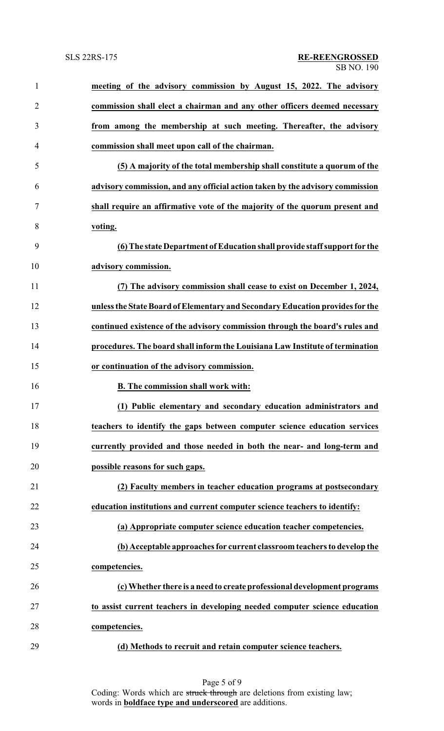| $\mathbf{1}$   | meeting of the advisory commission by August 15, 2022. The advisory           |
|----------------|-------------------------------------------------------------------------------|
| $\overline{2}$ | commission shall elect a chairman and any other officers deemed necessary     |
| 3              | from among the membership at such meeting. Thereafter, the advisory           |
| 4              | commission shall meet upon call of the chairman.                              |
| 5              | (5) A majority of the total membership shall constitute a quorum of the       |
| 6              | advisory commission, and any official action taken by the advisory commission |
| 7              | shall require an affirmative vote of the majority of the quorum present and   |
| 8              | voting.                                                                       |
| 9              | (6) The state Department of Education shall provide staff support for the     |
| 10             | advisory commission.                                                          |
| 11             | (7) The advisory commission shall cease to exist on December 1, 2024,         |
| 12             | unless the State Board of Elementary and Secondary Education provides for the |
| 13             | continued existence of the advisory commission through the board's rules and  |
| 14             | procedures. The board shall inform the Louisiana Law Institute of termination |
| 15             | or continuation of the advisory commission.                                   |
| 16             | <b>B.</b> The commission shall work with:                                     |
| 17             | (1) Public elementary and secondary education administrators and              |
| 18             | teachers to identify the gaps between computer science education services     |
| 19             | currently provided and those needed in both the near- and long-term and       |
| 20             | possible reasons for such gaps.                                               |
| 21             | (2) Faculty members in teacher education programs at postsecondary            |
| 22             | education institutions and current computer science teachers to identify:     |
| 23             | (a) Appropriate computer science education teacher competencies.              |
| 24             | (b) Acceptable approaches for current classroom teachers to develop the       |
| 25             | competencies.                                                                 |
| 26             | (c) Whether there is a need to create professional development programs       |
| 27             | to assist current teachers in developing needed computer science education    |
| 28             | competencies.                                                                 |
| 29             | (d) Methods to recruit and retain computer science teachers.                  |

Page 5 of 9 Coding: Words which are struck through are deletions from existing law; words in **boldface type and underscored** are additions.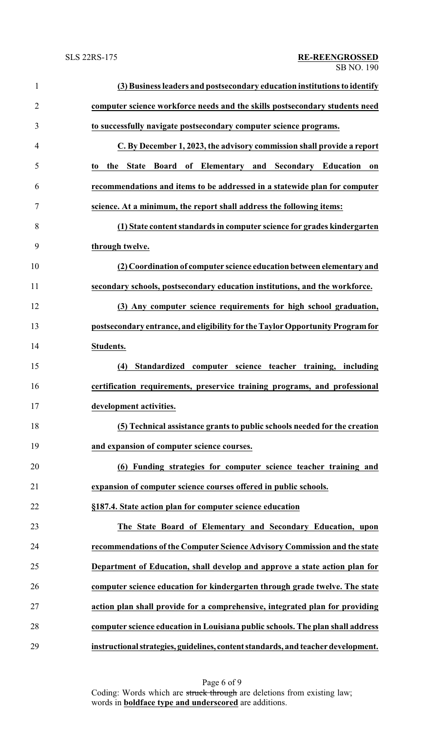| $\mathbf{1}$   | (3) Business leaders and postsecondary education institutions to identify         |
|----------------|-----------------------------------------------------------------------------------|
| $\overline{2}$ | computer science workforce needs and the skills postsecondary students need       |
| 3              | to successfully navigate postsecondary computer science programs.                 |
| 4              | C. By December 1, 2023, the advisory commission shall provide a report            |
| 5              | of Elementary and Secondary Education<br><b>State</b><br>Board<br>the<br>on<br>to |
| 6              | recommendations and items to be addressed in a statewide plan for computer        |
| 7              | science. At a minimum, the report shall address the following items:              |
| 8              | (1) State content standards in computer science for grades kindergarten           |
| 9              | through twelve.                                                                   |
| 10             | (2) Coordination of computer science education between elementary and             |
| 11             | secondary schools, postsecondary education institutions, and the workforce.       |
| 12             | (3) Any computer science requirements for high school graduation,                 |
| 13             | postsecondary entrance, and eligibility for the Taylor Opportunity Program for    |
| 14             | Students.                                                                         |
| 15             | Standardized computer science teacher training, including<br>(4)                  |
| 16             | certification requirements, preservice training programs, and professional        |
| 17             | development activities.                                                           |
| 18             | (5) Technical assistance grants to public schools needed for the creation         |
| 19             | and expansion of computer science courses.                                        |
| 20             | (6) Funding strategies for computer science teacher training and                  |
| 21             | expansion of computer science courses offered in public schools.                  |
| 22             | §187.4. State action plan for computer science education                          |
| 23             | The State Board of Elementary and Secondary Education, upon                       |
| 24             | recommendations of the Computer Science Advisory Commission and the state         |
| 25             | Department of Education, shall develop and approve a state action plan for        |
| 26             | computer science education for kindergarten through grade twelve. The state       |
| 27             | action plan shall provide for a comprehensive, integrated plan for providing      |
| 28             | computer science education in Louisiana public schools. The plan shall address    |
| 29             | instructional strategies, guidelines, content standards, and teacher development. |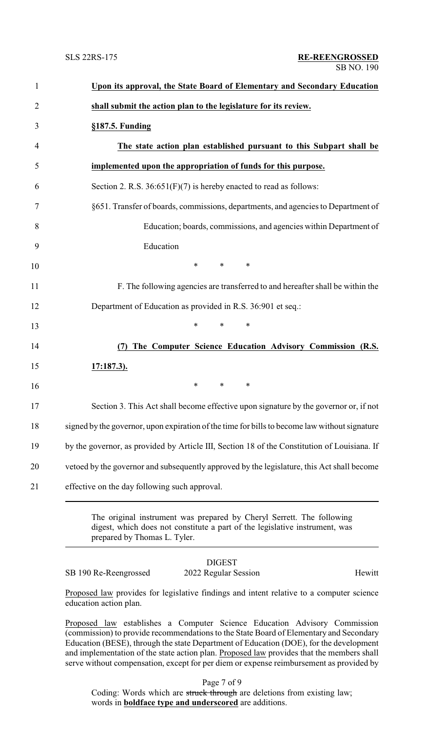| Upon its approval, the State Board of Elementary and Secondary Education                      |
|-----------------------------------------------------------------------------------------------|
| shall submit the action plan to the legislature for its review.                               |
| §187.5. Funding                                                                               |
| The state action plan established pursuant to this Subpart shall be                           |
| implemented upon the appropriation of funds for this purpose.                                 |
| Section 2. R.S. $36:651(F)(7)$ is hereby enacted to read as follows:                          |
| §651. Transfer of boards, commissions, departments, and agencies to Department of             |
| Education; boards, commissions, and agencies within Department of                             |
| Education                                                                                     |
| $\ast$<br>$*$ and $*$<br>$\ast$                                                               |
| F. The following agencies are transferred to and hereafter shall be within the                |
| Department of Education as provided in R.S. 36:901 et seq.:                                   |
| $\ast$<br>$\ast$<br>$\ast$                                                                    |
| The Computer Science Education Advisory Commission (R.S.<br>(7)                               |
| <u>17:187.3).</u>                                                                             |
| $\ast$<br>*<br>∗                                                                              |
| Section 3. This Act shall become effective upon signature by the governor or, if not          |
| signed by the governor, upon expiration of the time for bills to become law without signature |
| by the governor, as provided by Article III, Section 18 of the Constitution of Louisiana. If  |
| vetoed by the governor and subsequently approved by the legislature, this Act shall become    |
| effective on the day following such approval.                                                 |

The original instrument was prepared by Cheryl Serrett. The following digest, which does not constitute a part of the legislative instrument, was prepared by Thomas L. Tyler.

## DIGEST SB 190 Re-Reengrossed 2022 Regular Session Hewitt

Proposed law provides for legislative findings and intent relative to a computer science education action plan.

Proposed law establishes a Computer Science Education Advisory Commission (commission) to provide recommendations to the State Board of Elementary and Secondary Education (BESE), through the state Department of Education (DOE), for the development and implementation of the state action plan. Proposed law provides that the members shall serve without compensation, except for per diem or expense reimbursement as provided by

Page 7 of 9

Coding: Words which are struck through are deletions from existing law; words in **boldface type and underscored** are additions.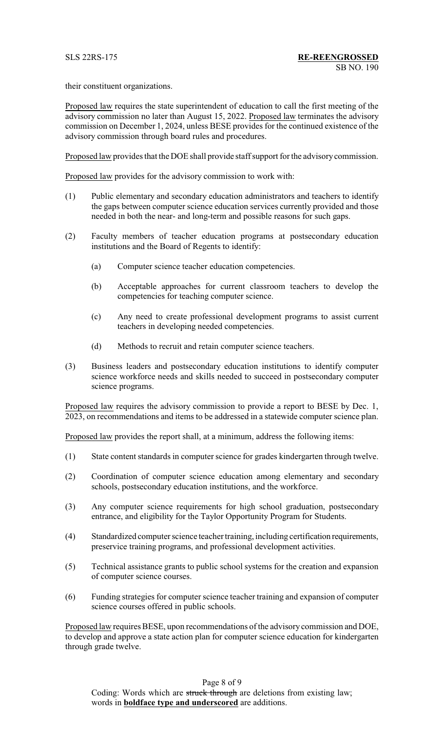their constituent organizations.

Proposed law requires the state superintendent of education to call the first meeting of the advisory commission no later than August 15, 2022. Proposed law terminates the advisory commission on December 1, 2024, unless BESE provides for the continued existence of the advisory commission through board rules and procedures.

Proposed law provides that the DOE shall provide staff support for the advisory commission.

Proposed law provides for the advisory commission to work with:

- (1) Public elementary and secondary education administrators and teachers to identify the gaps between computer science education services currently provided and those needed in both the near- and long-term and possible reasons for such gaps.
- (2) Faculty members of teacher education programs at postsecondary education institutions and the Board of Regents to identify:
	- (a) Computer science teacher education competencies.
	- (b) Acceptable approaches for current classroom teachers to develop the competencies for teaching computer science.
	- (c) Any need to create professional development programs to assist current teachers in developing needed competencies.
	- (d) Methods to recruit and retain computer science teachers.
- (3) Business leaders and postsecondary education institutions to identify computer science workforce needs and skills needed to succeed in postsecondary computer science programs.

Proposed law requires the advisory commission to provide a report to BESE by Dec. 1, 2023, on recommendations and items to be addressed in a statewide computer science plan.

Proposed law provides the report shall, at a minimum, address the following items:

- (1) State content standards in computer science for grades kindergarten through twelve.
- (2) Coordination of computer science education among elementary and secondary schools, postsecondary education institutions, and the workforce.
- (3) Any computer science requirements for high school graduation, postsecondary entrance, and eligibility for the Taylor Opportunity Program for Students.
- (4) Standardized computer science teacher training, including certification requirements, preservice training programs, and professional development activities.
- (5) Technical assistance grants to public school systems for the creation and expansion of computer science courses.
- (6) Funding strategies for computer science teacher training and expansion of computer science courses offered in public schools.

Proposed law requires BESE, upon recommendations of the advisory commission and DOE, to develop and approve a state action plan for computer science education for kindergarten through grade twelve.

Page 8 of 9 Coding: Words which are struck through are deletions from existing law; words in **boldface type and underscored** are additions.